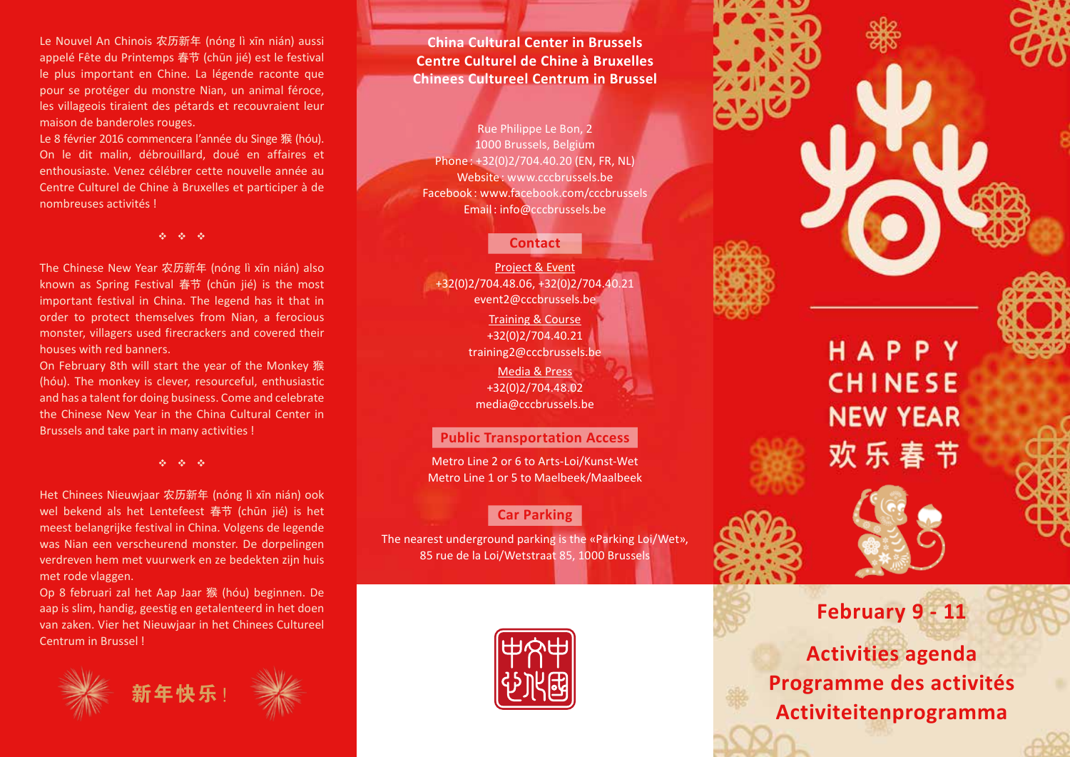Le Nouvel An Chinois 农历新年 (nóng lì xīn nián) aussi appelé Fête du Printemps 春节 (chūn jié) est le festival le plus important en Chine. La légende raconte que pour se protéger du monstre Nian, un animal féroce, les villageois tiraient des pétards et recouvraient leur maison de banderoles rouges.

Le 8 février 2016 commencera l'année du Singe 猴 (hóu). On le dit malin, débrouillard, doué en affaires et enthousiaste. Venez célébrer cette nouvelle année au Centre Culturel de Chine à Bruxelles et participer à de nombreuses activités !

 $\phi_2 = \phi_2 = \phi_2$ 

The Chinese New Year 农历新年 (nóng lì xīn nián) also known as Spring Festival 春节 (chūn jié) is the most important festival in China. The legend has it that in order to protect themselves from Nian, a ferocious monster, villagers used firecrackers and covered their houses with red banners.

On February 8th will start the year of the Monkey 猴 (hóu). The monkey is clever, resourceful, enthusiastic and has a talent for doing business. Come and celebrate the Chinese New Year in the China Cultural Center in Brussels and take part in many activities !

v v v

Het Chinees Nieuwjaar 农历新年 (nóng lì xīn nián) ook wel bekend als het Lentefeest 春节 (chūn jié) is het meest belangrijke festival in China. Volgens de legende was Nian een verscheurend monster. De dorpelingen verdreven hem met vuurwerk en ze bedekten zijn huis met rode vlaggen.

Op 8 februari zal het Aap Jaar 猴 (hóu) beginnen. De aap is slim, handig, geestig en getalenteerd in het doen van zaken. Vier het Nieuwjaar in het Chinees Cultureel Centrum in Brussel !



**China Cultural Center in Brussels Centre Culturel de Chine à Bruxelles Chinees Cultureel Centrum in Brussel**

Rue Philippe Le Bon, 2 1000 Brussels, Belgium Phone : +32(0)2/704.40.20 (EN, FR, NL) Website : www.cccbrussels.be Facebook : www.facebook.com/cccbrussels Email : info@cccbrussels.be

## **Contact**

Project & Event +32(0)2/704.48.06, +32(0)2/704.40.21 event2@cccbrussels.be Training & Course +32(0)2/704.40.21

training2@cccbrussels.be

Media & Press +32(0)2/704.48.02 media@cccbrussels.be

## **Public Transportation Access**

Metro Line 2 or 6 to Arts-Loi/Kunst-Wet Metro Line 1 or 5 to Maelbeek/Maalbeek



The nearest underground parking is the «Parking Loi/Wet», 85 rue de la Loi/Wetstraat 85, 1000 Brussels



HAPPY **CHINESE NEW YEAR** 欢乐春节



## **February 9 - 11**

**Activities agenda Programme des activités Activiteitenprogramma**